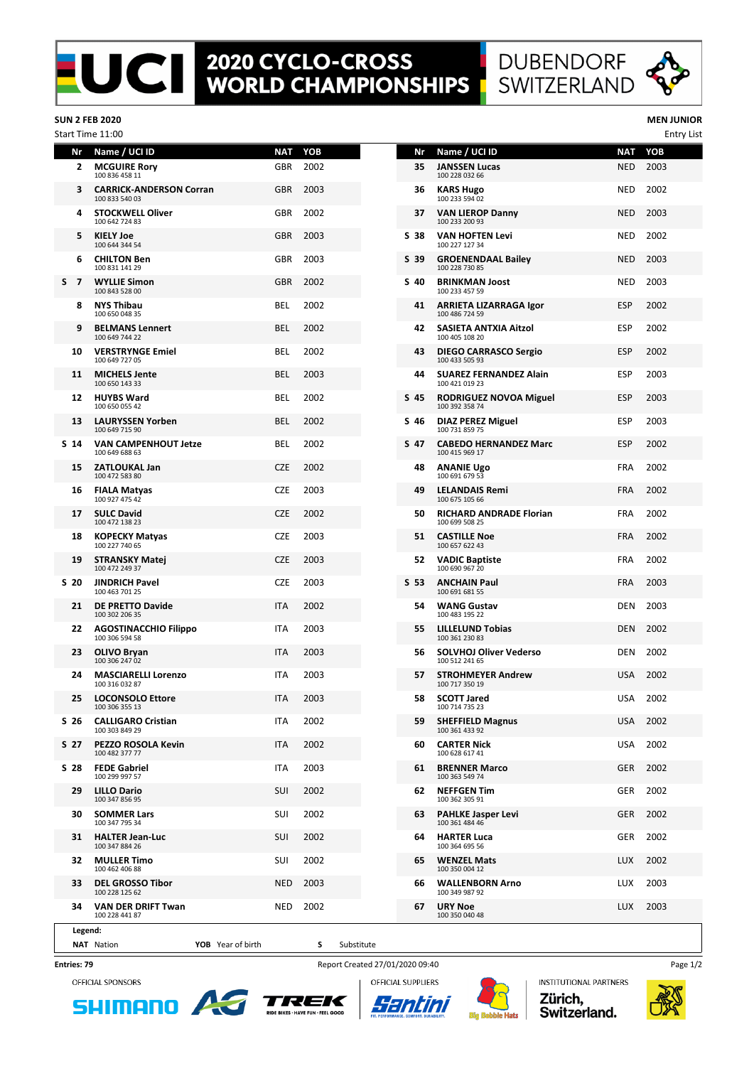## **2020 CYCLO-CROSS<br>WORLD CHAMPIONSHIPS**





## **SUN 2 FEB 2020 MEN JUNIOR**

|                      | Start Time 11:00                                 |            |      |      |                                                  |            | <b>Entry List</b> |
|----------------------|--------------------------------------------------|------------|------|------|--------------------------------------------------|------------|-------------------|
| Nr                   | Name / UCI ID                                    | <b>NAT</b> | YOB  | Nr   | Name / UCI ID                                    | NAT        | YOB               |
| 2                    | <b>MCGUIRE Rory</b><br>100 836 458 11            | <b>GBR</b> | 2002 | 35   | <b>JANSSEN Lucas</b><br>100 228 032 66           | <b>NED</b> | 2003              |
| 3                    | <b>CARRICK-ANDERSON Corran</b><br>100 833 540 03 | <b>GBR</b> | 2003 | 36   | <b>KARS Hugo</b><br>100 233 594 02               | <b>NED</b> | 2002              |
| 4                    | <b>STOCKWELL Oliver</b><br>100 642 724 83        | <b>GBR</b> | 2002 | 37   | <b>VAN LIEROP Danny</b><br>100 233 200 93        | <b>NED</b> | 2003              |
| 5                    | <b>KIELY Joe</b><br>100 644 344 54               | <b>GBR</b> | 2003 | S 38 | <b>VAN HOFTEN Levi</b><br>100 227 127 34         | <b>NED</b> | 2002              |
| 6                    | <b>CHILTON Ben</b><br>100 831 141 29             | <b>GBR</b> | 2003 | S 39 | <b>GROENENDAAL Bailey</b><br>100 228 730 85      | <b>NED</b> | 2003              |
| S.<br>$\overline{7}$ | <b>WYLLIE Simon</b><br>100 843 528 00            | <b>GBR</b> | 2002 | S 40 | <b>BRINKMAN Joost</b><br>100 233 457 59          | <b>NED</b> | 2003              |
| 8                    | <b>NYS Thibau</b><br>100 650 048 35              | <b>BEL</b> | 2002 | 41   | ARRIETA LIZARRAGA Igor<br>100 486 724 59         | <b>ESP</b> | 2002              |
| 9                    | <b>BELMANS Lennert</b><br>100 649 744 22         | <b>BEL</b> | 2002 | 42   | SASIETA ANTXIA Aitzol<br>100 405 108 20          | <b>ESP</b> | 2002              |
| 10                   | <b>VERSTRYNGE Emiel</b><br>100 649 727 05        | BEL        | 2002 | 43   | <b>DIEGO CARRASCO Sergio</b><br>100 433 505 93   | <b>ESP</b> | 2002              |
| 11                   | <b>MICHELS Jente</b><br>100 650 143 33           | <b>BEL</b> | 2003 | 44   | <b>SUAREZ FERNANDEZ Alain</b><br>100 421 019 23  | <b>ESP</b> | 2003              |
| 12                   | <b>HUYBS Ward</b><br>100 650 055 42              | BEL        | 2002 | S 45 | <b>RODRIGUEZ NOVOA Miguel</b><br>100 392 358 74  | <b>ESP</b> | 2003              |
| 13                   | <b>LAURYSSEN Yorben</b><br>100 649 715 90        | <b>BEL</b> | 2002 | S 46 | <b>DIAZ PEREZ Miguel</b><br>100 731 859 75       | <b>ESP</b> | 2003              |
| S 14                 | <b>VAN CAMPENHOUT Jetze</b><br>100 649 688 63    | BEL        | 2002 | S 47 | <b>CABEDO HERNANDEZ Marc</b><br>100 415 969 17   | <b>ESP</b> | 2002              |
| 15                   | <b>ZATLOUKAL Jan</b><br>100 472 583 80           | <b>CZE</b> | 2002 | 48   | <b>ANANIE Ugo</b><br>100 691 679 53              | FRA        | 2002              |
| 16                   | <b>FIALA Matyas</b><br>100 927 475 42            | <b>CZE</b> | 2003 | 49   | <b>LELANDAIS Remi</b><br>100 675 105 66          | <b>FRA</b> | 2002              |
| 17                   | <b>SULC David</b><br>100 472 138 23              | <b>CZE</b> | 2002 | 50   | <b>RICHARD ANDRADE Florian</b><br>100 699 508 25 | <b>FRA</b> | 2002              |
| 18                   | <b>KOPECKY Matyas</b><br>100 227 740 65          | <b>CZE</b> | 2003 | 51   | <b>CASTILLE Noe</b><br>100 657 622 43            | <b>FRA</b> | 2002              |
| 19                   | <b>STRANSKY Matej</b><br>100 472 249 37          | <b>CZE</b> | 2003 | 52.  | <b>VADIC Baptiste</b><br>100 690 967 20          | <b>FRA</b> | 2002              |
| S <sub>20</sub>      | <b>JINDRICH Pavel</b><br>100 463 701 25          | <b>CZE</b> | 2003 | S 53 | <b>ANCHAIN Paul</b><br>100 691 681 55            | FRA        | 2003              |
| 21                   | <b>DE PRETTO Davide</b><br>100 302 206 35        | <b>ITA</b> | 2002 | 54   | <b>WANG Gustav</b><br>100 483 195 22             | DEN        | 2003              |
| 22                   | <b>AGOSTINACCHIO Filippo</b><br>100 306 594 58   | ITA        | 2003 | 55   | <b>LILLELUND Tobias</b><br>100 361 230 83        | <b>DEN</b> | 2002              |
| 23                   | <b>OLIVO Bryan</b><br>100 306 247 02             | <b>ITA</b> | 2003 | 56   | <b>SOLVHOJ Oliver Vederso</b><br>100 512 241 65  | DEN        | 2002              |
| 24                   | <b>MASCIARELLI Lorenzo</b><br>100 316 032 87     | <b>ITA</b> | 2003 | 57   | <b>STROHMEYER Andrew</b><br>100 717 350 19       | <b>USA</b> | 2002              |
|                      | 25 LOCONSOLO Ettore<br>100 306 355 13            | ITA        | 2003 | 58   | <b>SCOTT Jared</b><br>100 714 735 23             |            | USA 2002          |
| S 26                 | <b>CALLIGARO Cristian</b><br>100 303 849 29      | ITA        | 2002 | 59   | <b>SHEFFIELD Magnus</b><br>100 361 433 92        | USA        | 2002              |
| S 27                 | PEZZO ROSOLA Kevin<br>100 482 377 77             | <b>ITA</b> | 2002 | 60   | <b>CARTER Nick</b><br>100 628 617 41             | USA        | 2002              |
| S 28                 | <b>FEDE Gabriel</b><br>100 299 997 57            | ITA        | 2003 | 61   | <b>BRENNER Marco</b><br>100 363 549 74           | <b>GER</b> | 2002              |
| 29                   | <b>LILLO Dario</b><br>100 347 856 95             | SUI        | 2002 | 62   | <b>NEFFGEN Tim</b><br>100 362 305 91             | GER        | 2002              |
| 30                   | <b>SOMMER Lars</b><br>100 347 795 34             | SUI        | 2002 | 63   | <b>PAHLKE Jasper Levi</b><br>100 361 484 46      | <b>GER</b> | 2002              |
| 31                   | <b>HALTER Jean-Luc</b><br>100 347 884 26         | <b>SUI</b> | 2002 | 64   | <b>HARTER Luca</b><br>100 364 695 56             | GER        | 2002              |
|                      | 32 MULLER Timo<br>100 462 406 88                 | SUI        | 2002 | 65   | <b>WENZEL Mats</b><br>100 350 004 12             | <b>LUX</b> | 2002              |
| 33                   | <b>DEL GROSSO Tibor</b><br>100 228 125 62        | <b>NED</b> | 2003 | 66   | <b>WALLENBORN Arno</b><br>100 349 987 92         | LUX        | 2003              |
| 34                   | VAN DER DRIFT Twan<br>100 228 441 87             | NED        | 2002 | 67   | <b>URY Noe</b><br>100 350 040 48                 | LUX        | 2003              |
| Legend:              |                                                  |            |      |      |                                                  |            |                   |

| Nr | Name / UCI ID                                    | NAT        | YOB  |
|----|--------------------------------------------------|------------|------|
| 35 | JANSSEN Lucas<br>100 228 032 66                  | <b>NED</b> | 2003 |
| 36 | <b>KARS Hugo</b><br>100 233 594 02               | NED        | 2002 |
| 37 | <b>VAN LIEROP Danny</b><br>100 233 200 93        | <b>NED</b> | 2003 |
| 38 | <b>VAN HOFTEN Levi</b><br>100 227 127 34         | NED        | 2002 |
| 39 | <b>GROENENDAAL Bailey</b><br>100 228 730 85      | NED        | 2003 |
| 40 | <b>BRINKMAN Joost</b><br>100 233 457 59          | <b>NED</b> | 2003 |
| 41 | ARRIETA LIZARRAGA Igor<br>100 486 724 59         | ESP        | 2002 |
| 42 | SASIETA ANTXIA Aitzol<br>100 405 108 20          | <b>ESP</b> | 2002 |
| 43 | <b>DIEGO CARRASCO Sergio</b><br>100 433 505 93   | <b>ESP</b> | 2002 |
| 44 | <b>SUAREZ FERNANDEZ Alain</b><br>100 421 019 23  | ESP        | 2003 |
| 45 | RODRIGUEZ NOVOA Miguel<br>100 392 358 74         | ESP        | 2003 |
| 46 | <b>DIAZ PEREZ Miguel</b><br>100 731 859 75       | <b>ESP</b> | 2003 |
| 47 | <b>CABEDO HERNANDEZ Marc</b><br>100 415 969 17   | <b>ESP</b> | 2002 |
| 48 | ANANIE Ugo<br>100 691 679 53                     | <b>FRA</b> | 2002 |
| 49 | <b>LELANDAIS Remi</b><br>100 675 105 66          | FRA        | 2002 |
| 50 | <b>RICHARD ANDRADE Florian</b><br>100 699 508 25 | FRA        | 2002 |
| 51 | <b>CASTILLE Noe</b><br>100 657 622 43            | FRA        | 2002 |
| 52 | VADIC Baptiste<br>100 690 967 20                 | <b>FRA</b> | 2002 |
| 53 | <b>ANCHAIN Paul</b><br>100 691 681 55            | <b>FRA</b> | 2003 |
| 54 | WANG Gustav<br>100 483 195 22                    | DEN        | 2003 |
| 55 | LILLELUND Tobias<br>100 361 230 83               | DEN        | 2002 |
| 56 | <b>SOLVHOJ Oliver Vederso</b><br>100 512 241 65  | DEN        | 2002 |
| 57 | <b>STROHMEYER Andrew</b><br>100 717 350 19       | USA        | 2002 |
| 58 | <b>SCOTT Jared</b><br>100 /14 /35 23             | USA        | 2002 |
| 59 | <b>SHEFFIELD Magnus</b><br>100 361 433 92        | USA        | 2002 |
| 60 | <b>CARTER Nick</b><br>100 628 617 41             | USA        | 2002 |
| 61 | <b>BRENNER Marco</b><br>100 363 549 74           | GER        | 2002 |
| 62 | <b>NEFFGEN Tim</b><br>100 362 305 91             | GER        | 2002 |
| 63 | <b>PAHLKE Jasper Levi</b><br>100 361 484 46      | GER        | 2002 |
| 64 | HARTER Luca<br>100 364 695 56                    | GER        | 2002 |
| 65 | <b>WENZEL Mats</b><br>100 350 004 12             | <b>LUX</b> | 2002 |
| 66 | <b>WALLENBORN Arno</b><br>100 349 987 92         | LUX        | 2003 |
| 67 | <b>URY Noe</b>                                   | LUX        | 2003 |

**Entries: 79**

OFFICIAL SPONSORS

**SHIMANO** 

**NAT** Nation **YOB** Year of birth **S** Substitute

AJ

Report Created 27/01/2020 09:40

TREK

**RIDE BIKES - HAVE FUN - FEEL GOOD** 

OFFICIAL SUPPLIERS

Santini



**INSTITUTIONAL PARTNERS** Zürich, Switzerland.